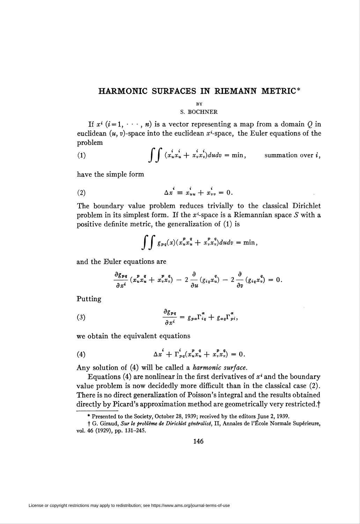## HARMONIC SURFACES IN RIEMANN METRIC

## **BY**

## S. BOCHNER

If  $x^i$   $(i=1, \dots, n)$  is a vector representing a map from a domain Q in euclidean  $(u, v)$ -space into the euclidean  $x^i$ -space, the Euler equations of the problem

(1) 
$$
\int \int (x_u^i x_u^i + x_v^i x_v^i) du dv = \min, \qquad \text{summation over } i,
$$

have the simple form

$$
\Delta x^i \equiv x^i_{uu} + x^i_{vv} = 0.
$$

The boundary value problem reduces trivially to the classical Dirichlet problem in its simplest form. If the  $x^i$ -space is a Riemannian space S with a positive definite metric, the generalization of (1) is

$$
\int\!\!\int g_{pq}(x)(x_u^px_u^q+x_v^px_v^q)dudv=\min,
$$

and the Euler equations are

$$
\frac{\partial g_{pq}}{\partial x^i} (x_u^p x_u^q + x_v^p x_v^q) - 2 \frac{\partial}{\partial u} (g_{iq} x_u^q) - 2 \frac{\partial}{\partial v} (g_{iq} x_v^q) = 0.
$$

Putting

(3) 
$$
\frac{\partial g_{pq}}{\partial x^i} = g_{pq} \Gamma_{iq}^{\alpha} + g_{\alpha q} \Gamma_{pi}^{\alpha}.
$$

we obtain the equivalent equations

(4) 
$$
\Delta x^i + \Gamma_{p q}^i (x_u^p x_u^q + x_v^p x_v^q) = 0.
$$

Any solution of (4) will be called a harmonic surface.

Equations (4) are nonlinear in the first derivatives of  $x^{i}$  and the boundary value problem is now decidedly more difficult than in the classical case (2). There is no direct generalization of Poisson's integral and the results obtained directly by Picard's approximation method are geometrically very restricted.<sup>†</sup>

<sup>\*</sup> Presented to the Society, October 28, 1939; received by the editors June 2, 1939.

<sup>†</sup> G. Giraud, Sur le problème de Dirichlet généralisé, II, Annales de l'École Normale Supérieure, vol. 46 (1929), pp. 131-245.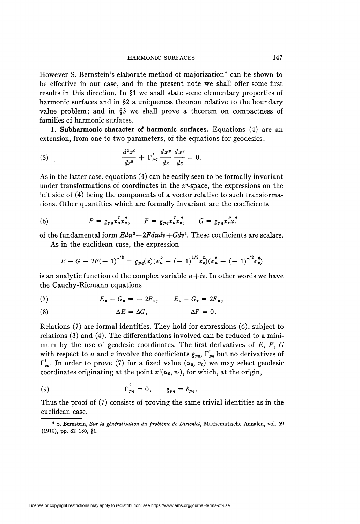## HARMONIC SURFACES 147

However S. Bernstein's elaborate method of majorization\* can be shown to be effective in our case, and in the present note we shall offer some first results in this direction. In §1 we shall state some elementary properties of harmonic surfaces and in §2 a uniqueness theorem relative to the boundary value problem; and in §3 we shall prove a theorem on compactness of families of harmonic surfaces.

1. Subharmonic character of harmonic surfaces. Equations (4) are an extension, from one to two parameters, of the equations for geodesics:

(5) 
$$
\frac{d^2x^i}{ds^2} + \Gamma_{pq}^i \frac{dx^p}{ds} \frac{dx^q}{ds} = 0.
$$

As in the latter case, equations (4) can be easily seen to be formally invariant under transformations of coordinates in the  $x^i$ -space, the expressions on the left side of (4) being the components of a vector relative to such transformations. Other quantities which are formally invariant are the coefficients

(6) 
$$
E = g_{pq} x_u^p x_u^q, \qquad F = g_{pq} x_u^p x_v^q, \qquad G = g_{pq} x_v^p x_v^q
$$

of the fundamental form  $Edu^2 + 2Fdu dv + Gdv^2$ . These coefficients are scalars.

As in the euclidean case, the expression

$$
E-G-2F(-1)^{1/2}=g_{pq}(x)(x_u^p-(-1)^{1/2}x_v^p)(x_u^q-(-1)^{1/2}x_v^q)
$$

is an analytic function of the complex variable  $u+iv$ . In other words we have the Cauchy-Riemann equations

$$
(7) \hspace{1cm} E_u - G_u = -2F_v, \hspace{1cm} E_v - G_v = 2F_u,
$$

(8) 
$$
\Delta E = \Delta G, \qquad \Delta F = 0.
$$

Relations (7) are formal identities. They hold for expressions (6), subject to relations (3) and (4). The differentiations involved can be reduced to a minimum by the use of geodesic coordinates. The first derivatives of  $E$ ,  $F$ ,  $G$ with respect to u and v involve the coefficients  $g_{pq}$ ,  $\Gamma_{pq}^{i}$  but no derivatives of  $\Gamma_{pq}^{i}$ . In order to prove (7) for a fixed value  $(u_0, v_0)$  we may select geodesic coordinates originating at the point  $x^i(u_0, v_0)$ , for which, at the origin,

(9) 
$$
\Gamma_{pq}^i = 0, \qquad g_{pq} = \delta_{pq}.
$$

Thus the proof of (7) consists of proving the same trivial identities as in the euclidean case.

<sup>\*</sup> S. Bernstein, Sur la généralisation du problème de Dirichlet, Mathematische Annalen, vol. 69 (1910), pp. 82-136, §1.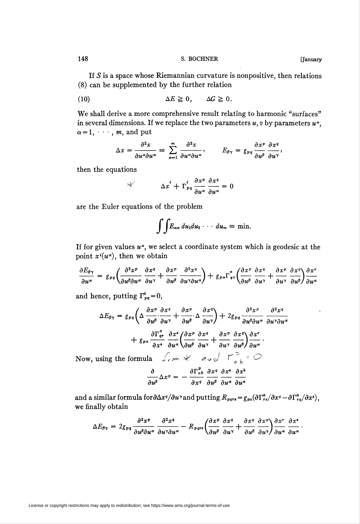If  $S$  is a space whose Riemannian curvature is nonpositive, then relations (8) can be supplemented by the further relation

(10) 
$$
\Delta E \geq 0, \qquad \Delta G \geq 0.
$$

We shall derive a more comprehensive result relating to harmonic "surfaces" in several dimensions. If we replace the two parameters  $u$ , v by parameters  $u^{\alpha}$ ,  $\alpha = 1, \cdots, m$ , and put

$$
\Delta x = \frac{\partial^2 x}{\partial u^{\alpha} \partial u^{\alpha}} \equiv \sum_{\alpha=1}^m \frac{\partial^2 x}{\partial u^{\alpha} \partial u^{\alpha}}, \qquad E_{\beta \gamma} = g_{pq} \frac{\partial x^p}{\partial u^{\beta}} \frac{\partial x^q}{\partial u^{\gamma}},
$$

then the equations

$$
\Delta x^i + \Gamma^i_{pq} \frac{\partial x^p}{\partial u^{\alpha}} \frac{\partial x^q}{\partial u^{\alpha}} = 0
$$

are the Euler equations of the problem

 $\mathbf{r}$ 

$$
\int\!\!\int\!E_{\alpha\alpha}\,du_1du_2\cdots\,du_m\equiv\min.
$$

If for given values  $u^{\alpha}$ , we select a coordinate system which is geodesic at the point  $x^i(u^\alpha)$ , then we obtain

$$
\frac{\partial E_{\beta\gamma}}{\partial u^{\alpha}} = g_{pq} \left( \frac{\partial^2 x^p}{\partial u^{\beta} \partial u^{\alpha}} \frac{\partial x^q}{\partial u^{\gamma}} + \frac{\partial x^p}{\partial u^{\beta}} \frac{\partial^2 x^q}{\partial u^{\gamma} \partial u^{\alpha}} \right) + g_{pq} \Gamma^{\alpha}_{qr} \left( \frac{\partial x^p}{\partial u^{\beta}} \frac{\partial x^q}{\partial u^{\gamma}} + \frac{\partial x^p}{\partial u^{\gamma}} \frac{\partial x^q}{\partial u^{\beta}} \right) \frac{\partial x^r}{\partial u^{\alpha}}
$$

and hence, putting  $\Gamma_{pq}^{\prime}=0$ ,

$$
\Delta E_{\beta\gamma} = g_{pq} \left( \Delta \frac{\partial x^p}{\partial u^{\beta}} \cdot \frac{\partial x^q}{\partial u^{\gamma}} + \frac{\partial x^p}{\partial u^{\beta}} \cdot \Delta \frac{\partial x^q}{\partial u^{\gamma}} \right) + 2g_{pq} \frac{\partial^2 x^p}{\partial u^{\beta} \partial u^{\alpha}} \frac{\partial^2 x^q}{\partial u^{\gamma} \partial u} + g_{pa} \frac{\partial \Gamma_{qr}^a}{\partial x^s} \frac{\partial x^s}{\partial u^{\alpha}} \left( \frac{\partial x^p}{\partial u^{\beta}} \frac{\partial x^q}{\partial u^{\gamma}} + \frac{\partial x^p}{\partial u^{\gamma}} \frac{\partial x^q}{\partial u^{\beta}} \right) \frac{\partial x^r}{\partial u^{\alpha}}.
$$

Now, using the formula  $\int_{\mathcal{C}} M \times \mathcal{A}$  and  $\Gamma_{ab}^{\mathcal{P}}$  for

$$
\frac{\partial}{\partial u^{\beta}} \Delta x^p = -\frac{\partial \Gamma^p_{ab}}{\partial x^q} \frac{\partial x^q}{\partial u^{\beta}} \frac{\partial x^a}{\partial u^{\alpha}} \frac{\partial x^b}{\partial u^{\alpha}}
$$

and a similar formula for  $\frac{\partial \Delta x^q}{\partial u^\gamma}$  and putting  $R_{pqrs} = g_{pa}(\frac{\partial \Gamma_{rs}^q}{\partial x^q} - \frac{\partial \Gamma_{rs}^q}{\partial x^s}),$ we finally obtain

$$
\Delta E_{\beta\gamma} = 2g_{pq} \frac{\partial^2 x^p}{\partial u^{\beta} \partial u^{\alpha}} \frac{\partial^2 x^q}{\partial u^{\gamma} \partial u^{\alpha}} - R_{pqrs} \left( \frac{\partial x^p}{\partial u^{\beta}} \frac{\partial x^q}{\partial u^{\gamma}} + \frac{\partial x^q}{\partial u^{\beta}} \frac{\partial x^p}{\partial u^{\gamma}} \right) \frac{\partial x^r}{\partial u^{\alpha}} \frac{\partial x^s}{\partial u^{\alpha}}
$$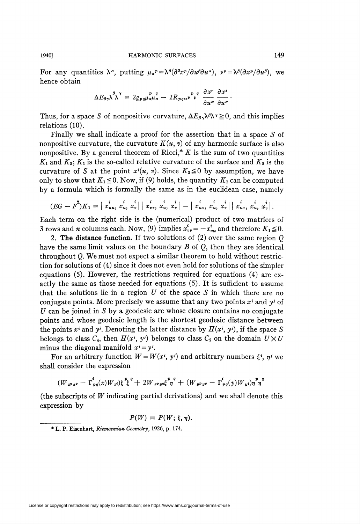For any quantities  $\lambda^{\alpha}$ , putting  $\mu_{\alpha}P = \lambda^{\beta}(\partial^{2}x^{p}/\partial u^{\beta}\partial u^{\alpha})$ ,  $\nu^{p} = \lambda^{\beta}(\partial x^{p}/\partial u^{\beta})$ , we hence obtain

$$
\Delta E_{\beta\gamma}\lambda^{\beta}\lambda^{\gamma} = 2g_{pq}\mu_{\alpha}\mu_{\alpha}^{\qquad p \quad q} - 2R_{pqrs}\nu^{\qquad p \quad q} \frac{\partial x^{r}}{\partial u^{\alpha}} \frac{\partial x^{s}}{\partial u^{\alpha}}
$$

Thus, for a space S of nonpositive curvature,  $\Delta E_g \lambda^{\beta} \lambda^{\gamma} \geq 0$ , and this implies relations (10).

Finally we shall indicate a proof for the assertion that in a space S of nonpositive curvature, the curvature  $K(u, v)$  of any harmonic surface is also nonpositive. By a general theorem of Ricci,\* K is the sum of two quantities  $K_1$  and  $K_2$ ;  $K_1$  is the so-called relative curvature of the surface and  $K_2$  is the curvature of S at the point  $x^{i}(u, v)$ . Since  $K_2 \leq 0$  by assumption, we have only to show that  $K_1 \leq 0$ . Now, if (9) holds, the quantity  $K_1$  can be computed by a formula which is formally the same as in the euclidean case, namely

$$
(EG - F^{2})K_{1} = | x_{uu}^{i}, x_{u}^{i}, x_{v}^{i} | | x_{vv}^{i}, x_{u}^{i}, x_{v}^{i} | - | x_{uv}^{i}, x_{u}^{i}, x_{v}^{i} | | x_{uv}^{i}, x_{u}^{i}, x_{v}^{i} |
$$

Each term on the right side is the (numerical) product of two matrices of 3 rows and *n* columns each. Now, (9) implies  $x_{vv}^i = -x_{uu}^i$  and therefore  $K_1 \le 0$ .

2. The distance function. If two solutions of  $(2)$  over the same region  $Q$ have the same limit values on the boundary  $B$  of  $Q$ , then they are identical throughout Q. We must not expect a similar theorem to hold without restriction for solutions of (4) since it does not even hold for solutions of the simpler equations (5). However, the restrictions required for equations (4) are exactly the same as those needed for equations (5). It is sufficient to assume that the solutions lie in a region  $U$  of the space  $S$  in which there are no conjugate points. More precisely we assume that any two points  $x^i$  and  $y^j$  of U can be joined in S by a geodesic arc whose closure contains no conjugate points and whose geodesic length is the shortest geodesic distance between the points  $x^i$  and  $y^j$ . Denoting the latter distance by  $H(x^i, y^j)$ , if the space S belongs to class  $C_4$ , then  $H(x^i, y^j)$  belongs to class  $C_2$  on the domain  $U \times U$ minus the diagonal manifold  $x^i = y^i$ .

For an arbitrary function  $W = W(x^i, y^j)$  and arbitrary numbers  $\xi^i$ ,  $\eta^j$  we shall consider the expression

$$
(W_{x^p x^q} - \Gamma^i_{p q}(x) W_{x^i}) \xi^p \xi^q + 2 W_{x^p y^q} \xi^p \eta^q + (W_{y^p y^q} - \Gamma^i_{p q}(y) W_{y^i}) \eta^p \eta^q
$$

(the subscripts of W indicating partial derivations) and we shall denote this expression by

$$
P(W) \equiv P(W; \xi, \eta).
$$

<sup>\*</sup> L. P. Eisenhart, Riemannian Geometry, 1926, p. 174.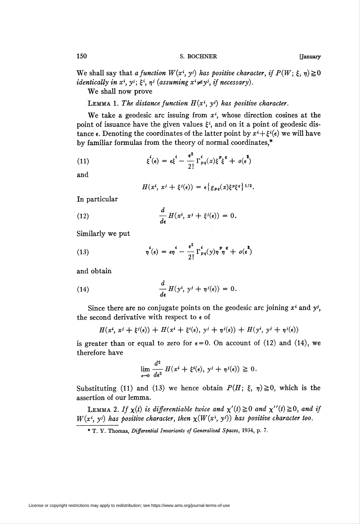We shall say that a function  $W(x^i, y^j)$  has positive character, if  $P(W; \xi, \eta) \ge 0$ identically in  $x^i$ ,  $y^j$ ;  $\xi^i$ ,  $\eta^j$  (assuming  $x^i \neq y^j$ , if necessary).

We shall now prove

LEMMA 1. The distance function  $H(x^i, y^j)$  has positive character.

We take a geodesic arc issuing from  $x<sup>i</sup>$ , whose direction cosines at the point of issuance have the given values  $\xi^{i}$ , and on it a point of geodesic distance  $\epsilon$ . Denoting the coordinates of the latter point by  $x^i + \xi^i(\epsilon)$  we will have by familiar formulas from the theory of normal coordinates,\*

(11) 
$$
\xi^{i}(\epsilon) = \epsilon \xi^{i} - \frac{\epsilon^{2}}{2!} \Gamma^{i}_{pq}(x) \xi^{p} \xi^{q} + o(\epsilon^{2})
$$

and

$$
H(x^i, x^j + \xi^j(\epsilon)) = \epsilon \left\{ g_{pq}(x) \xi^p \xi^q \right\}^{1/2}.
$$

In particular

(12) 
$$
\frac{d}{d\epsilon} H(x^i, x^j + \xi^j(\epsilon)) = 0.
$$

Similarly we put

(13) 
$$
\eta^i(\epsilon) = \epsilon \eta^i - \frac{\epsilon^2}{2!} \Gamma^i_{pq}(y) \eta^p \eta^q + o(\epsilon^2)
$$

and obtain

(14) 
$$
\frac{d}{d\epsilon} H(y^i, y^j + \eta^j(\epsilon)) = 0.
$$

Since there are no conjugate points on the geodesic arc joining  $x^i$  and  $y^j$ , the second derivative with respect to  $\epsilon$  of

$$
H(x^i, x^j + \xi^j(\epsilon)) + H(x^i + \xi^i(\epsilon), y^j + \eta^j(\epsilon)) + H(y^i, y^j + \eta^j(\epsilon))
$$

is greater than or equal to zero for  $\epsilon = 0$ . On account of (12) and (14), we therefore have

$$
\lim_{\epsilon \to 0} \frac{d^2}{d\epsilon^2} H(x^i + \xi^i(\epsilon), y^j + \eta^j(\epsilon)) \geq 0.
$$

Substituting (11) and (13) we hence obtain  $P(H; \xi, \eta) \ge 0$ , which is the assertion of our lemma.

LEMMA 2. If  $\chi(t)$  is differentiable twice and  $\chi'(t) \geq 0$  and  $\chi''(t) \geq 0$ , and if  $W(x^i, y^j)$  has positive character, then  $\chi(W(x^i, y^j))$  has positive character too.

<sup>\*</sup> T. Y. Thomas, Differential Invariants of Generalized Spaces, 1934, p. 7.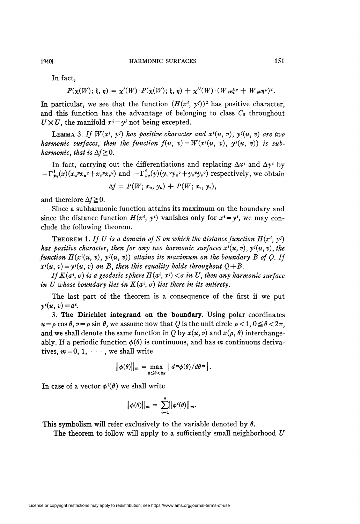In fact,

 $P(\chi(W); \xi, \eta) = \chi'(W) \cdot P(\chi(W); \xi, \eta) + \chi''(W) \cdot (W_{x} \xi^{p} + W_{y} \eta^{p})^{2}.$ 

In particular, we see that the function  $(H(x^i, y^j))^2$  has positive character, and this function has the advantage of belonging to class  $C_2$  throughout  $U \times U$ , the manifold  $x^i = y^i$  not being excepted.

**LEMMA** 3. If  $W(x^i, y^j)$  has positive character and  $x^i(u, v)$ ,  $y^j(u, v)$  are two harmonic surfaces, then the function  $f(u, v) = W(x^{i}(u, v), y^{i}(u, v))$  is subharmonic, that is  $\Delta f \geq 0$ .

In fact, carrying out the differentiations and replacing  $\Delta x^i$  and  $\Delta y^i$  by  $-\Gamma_{pq}^{i}(x)(x_{u}^{p}x_{u}^{q}+x_{v}^{p}x_{v}^{q})$  and  $-\Gamma_{pq}^{i}(y)(y_{u}^{p}y_{u}^{q}+y_{v}^{p}y_{v}^{q})$  respectively, we obtain

$$
\Delta f = P(W; x_u, y_u) + P(W; x_v, y_v),
$$

and therefore  $\Delta f \geq 0$ .

Since a subharmonic function attains its maximum on the boundary and since the distance function  $H(x^i, y^i)$  vanishes only for  $x^i = y^i$ , we may conclude the following theorem.

**THEOREM** 1. If U is a domain of S on which the distance function  $H(x^i, y^j)$ has positive character, then for any two harmonic surfaces  $x^i(u, v)$ ,  $y^i(u, v)$ , the function  $H(x^{i}(u, v), y^{i}(u, v))$  attains its maximum on the boundary B of Q. If  $x^{i}(u, v) = y^{i}(u, v)$  on B, then this equality holds throughout  $Q+B$ .

If  $K(a^i, \sigma)$  is a geodesic sphere  $H(a^i, x^j) < \sigma$  in U, then any harmonic surface in U whose boundary lies in  $K(a^i, \sigma)$  lies there in its entirety.

The last part of the theorem is a consequence of the first if we put  $y^i(u, v)=a^i$ .

3. The Dirichlet integrand on the boundary. Using polar coordinates  $u = \rho \cos \theta$ ,  $v = \rho \sin \theta$ , we assume now that Q is the unit circle  $\rho < 1$ ,  $0 \le \theta < 2\pi$ , and we shall denote the same function in Q by  $x(u, v)$  and  $x(\rho, \theta)$  interchangeably. If a periodic function  $\phi(\theta)$  is continuous, and has m continuous derivatives,  $m = 0, 1, \dots$ , we shall write

$$
\|\phi(\theta)\|_{m} = \max_{0 \leq \theta < 2\pi} \left| d^m \phi(\theta) / d\theta^m \right|.
$$

In case of a vector  $\phi^i(\theta)$  we shall write

$$
\big\|\phi(\theta)\big\|_m = \sum_{i=1}^n \big\|\phi^i(\theta)\big\|_m.
$$

This symbolism will refer exclusively to the variable denoted by  $\theta$ .

The theorem to follow will apply to a sufficiently small neighborhood  $U$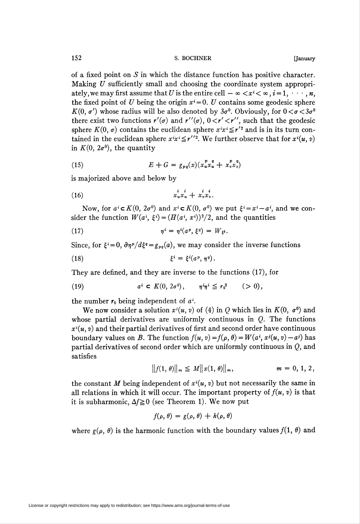of a fixed point on  $S$  in which the distance function has positive character. Making U sufficiently small and choosing the coordinate system appropriately, we may first assume that U is the entire cell  $-\infty < x^i < \infty$ ,  $i = 1, \dots, n$ , the fixed point of U being the origin  $x^{i} = 0$ . U contains some geodesic sphere  $K(0, \sigma')$  whose radius will be also denoted by  $3\sigma^0$ . Obviously, for  $0 < \sigma < 3\sigma^0$ there exist two functions  $r'(\sigma)$  and  $r''(\sigma)$ ,  $0 < r' < r''$ , such that the geodesic sphere  $K(0, \sigma)$  contains the euclidean sphere  $x^i x^i \leq r'^2$  and is in its turn contained in the euclidean sphere  $x^i x^i \leq r''^2$ . We further observe that for  $x^i(u, v)$ in  $K(0, 2\sigma^0)$ , the quantity

(15) 
$$
E + G = g_{pq}(x)(x_u^p x_u^q + x_v^p x_v^q)
$$

is majorized above and below by

$$
(16) \qquad \qquad x_u^i x_u^i + x_v^i x_v^i.
$$

Now, for  $a^i \in K(0, 2\sigma^0)$  and  $x^i \in K(0, \sigma^0)$  we put  $\xi^i = x^i - a^i$ , and we consider the function  $W(a^i, \xi^i) = (H(a^i, x^i))^2/2$ , and the quantities

(17) 
$$
\eta^i = \eta^i(a^p, \xi^q) = W_{\xi^i}.
$$

Since, for  $\xi = 0$ ,  $\frac{\partial \eta^p}{d\xi^q} = g_{pq}(a)$ , we may consider the inverse functions

(18) 
$$
\xi^i = \xi^i(a^p, \eta^q).
$$

They are defined, and they are inverse to the functions (17), for

(19) 
$$
a^i \in K(0, 2\sigma^0), \quad \eta^i \eta^i \leq r_0^2 \quad (>0),
$$

the number  $r_0$  being independent of  $a^i$ .

We now consider a solution  $x^i(u, v)$  of (4) in Q which lies in  $K(0, \sigma^0)$  and whose partial derivatives are uniformly continuous in  $Q$ . The functions  $x^i(u, v)$  and their partial derivatives of first and second order have continuous boundary values on B. The function  $f(u, v) = f(\rho, \theta) = W(a^i, x^i(u, v) - a^i)$  has partial derivatives of second order which are uniformly continuous in Q, and satisfies

$$
||f(1, \theta)||_{m} \leq M||x(1, \theta)||_{m}, \qquad m = 0, 1, 2,
$$

the constant M being independent of  $x^i(u, v)$  but not necessarily the same in all relations in which it will occur. The important property of  $f(u, v)$  is that it is subharmonic,  $\Delta f \ge 0$  (see Theorem 1). We now put

$$
f(\rho,\theta)=g(\rho,\theta)+h(\rho,\theta)
$$

where  $g(\rho, \theta)$  is the harmonic function with the boundary values  $f(1, \theta)$  and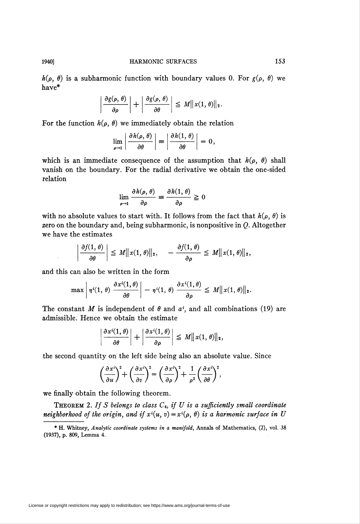$h(\rho, \theta)$  is a subharmonic function with boundary values 0. For  $g(\rho, \theta)$  we have\*

$$
\left|\frac{\partial g(\rho,\,\theta)}{\partial\rho}\right|+\left|\frac{\partial g(\rho,\,\theta)}{\partial\theta}\right|\,\leq\,M\|x(1,\,\theta)\|_2.
$$

For the function  $h(\rho, \theta)$  we immediately obtain the relation

$$
\lim_{\rho \to 1} \left| \frac{\partial h(\rho, \theta)}{\partial \theta} \right| = \left| \frac{\partial h(1, \theta)}{\partial \theta} \right| = 0,
$$

which is an immediate consequence of the assumption that  $h(\rho, \theta)$  shall vanish on the boundary. For the radial derivative we obtain the one-sided relation

$$
\lim_{\rho \to 1} \frac{\partial h(\rho, \theta)}{\partial \rho} \equiv \frac{\partial h(1, \theta)}{\partial \rho} \geq 0
$$

with no absolute values to start with. It follows from the fact that  $h(\rho, \theta)$  is zero on the boundary and, being subharmonic, is nonpositive in  $Q$ . Altogether we have the estimates

$$
\left|\frac{\partial f(1,\,\theta)}{\partial\theta}\right|\,\leq\,M\|x(1,\,\theta)\|_2,\quad -\frac{\partial f(1,\,\theta)}{\partial\rho}\,\leq\,M\|x(1,\,\theta)\|_2,
$$

and this can also be written in the form

$$
\max \left|\, \eta^{i}(1,\,\theta)\, \left. \frac{\partial x^{i}(1,\theta)}{\partial \theta} \right| \,-\, \eta^{i}(1,\,\theta)\, \frac{\partial x^{i}(1,\theta)}{\partial \rho} \leq\, M \|\, x(1,\,\theta)\|_2.
$$

The constant M is independent of  $\theta$  and  $a^i$ , and all combinations (19) are admissible. Hence we obtain the estimate

$$
\left|\frac{\partial x^{i}(1,\theta)}{\partial \theta}\right|+\left|\frac{\partial x^{i}(1,\theta)}{\partial \rho}\right|\leq M||x(1,\theta)||_2,
$$

the second quantity on the left side being also an absolute value. Since

$$
\left(\frac{\partial x^{i}}{\partial u}\right)^{2} + \left(\frac{\partial x^{i}}{\partial v}\right)^{2} = \left(\frac{\partial x^{i}}{\partial \rho}\right)^{2} + \frac{1}{\rho^{2}}\left(\frac{\partial x^{i}}{\partial \theta}\right)^{2},
$$

we finally obtain the following theorem.

THEOREM 2. If S belongs to class  $C_4$ , if U is a sufficiently small coordinate neighborhood of the origin, and if  $x^i(u, v) = x^i(\rho, \theta)$  is a harmonic surface in U

<sup>\*</sup> H. Whitney, Analytic coordinate systems in a manifold, Annals of Mathematics, (2), vol. 38 (1937), p. 809, Lemma 4.